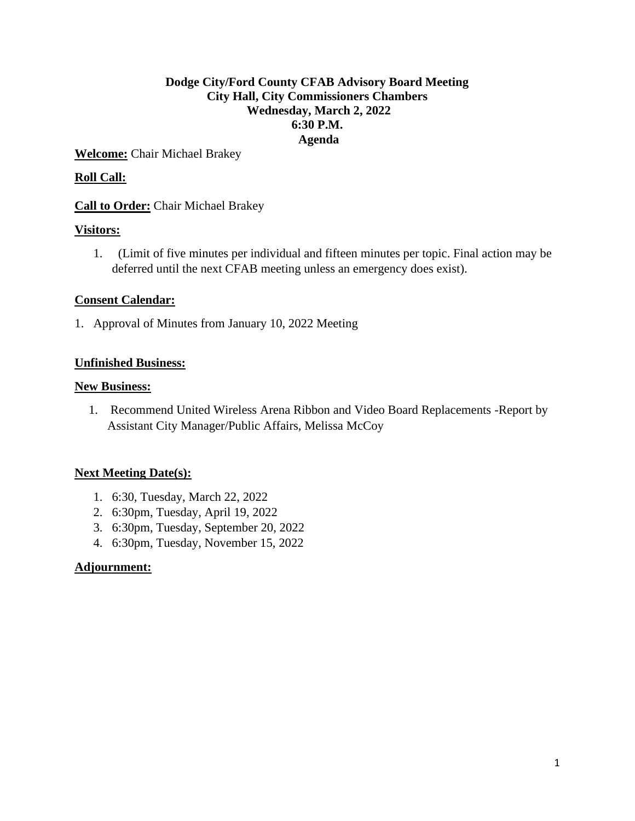# **Dodge City/Ford County CFAB Advisory Board Meeting City Hall, City Commissioners Chambers Wednesday, March 2, 2022 6:30 P.M. Agenda**

**Welcome:** Chair Michael Brakey

# **Roll Call:**

**Call to Order:** Chair Michael Brakey

# **Visitors:**

1. (Limit of five minutes per individual and fifteen minutes per topic. Final action may be deferred until the next CFAB meeting unless an emergency does exist).

# **Consent Calendar:**

1. Approval of Minutes from January 10, 2022 Meeting

# **Unfinished Business:**

### **New Business:**

1. Recommend United Wireless Arena Ribbon and Video Board Replacements -Report by Assistant City Manager/Public Affairs, Melissa McCoy

# **Next Meeting Date(s):**

- 1. 6:30, Tuesday, March 22, 2022
- 2. 6:30pm, Tuesday, April 19, 2022
- 3. 6:30pm, Tuesday, September 20, 2022
- 4. 6:30pm, Tuesday, November 15, 2022

# **Adjournment:**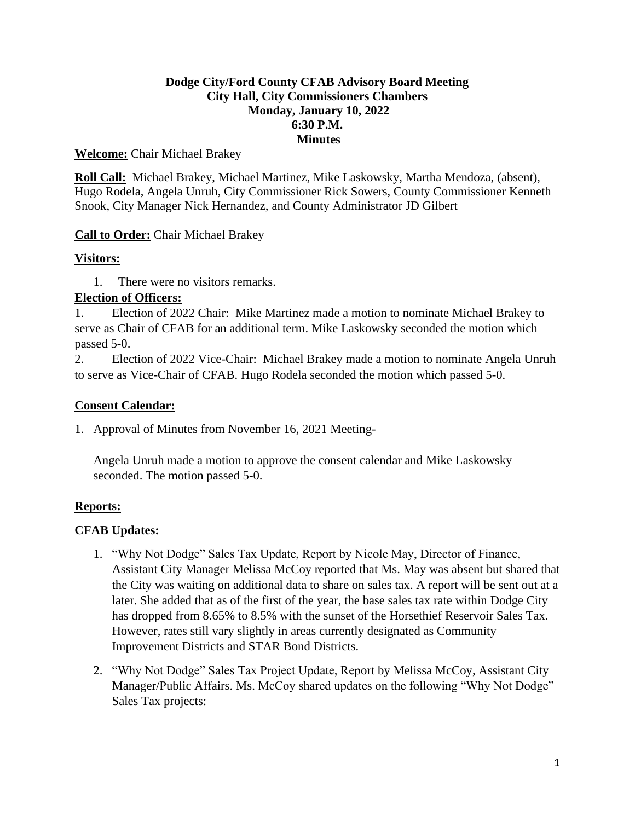# **Dodge City/Ford County CFAB Advisory Board Meeting City Hall, City Commissioners Chambers Monday, January 10, 2022 6:30 P.M. Minutes**

# **Welcome:** Chair Michael Brakey

**Roll Call:** Michael Brakey, Michael Martinez, Mike Laskowsky, Martha Mendoza, (absent), Hugo Rodela, Angela Unruh, City Commissioner Rick Sowers, County Commissioner Kenneth Snook, City Manager Nick Hernandez, and County Administrator JD Gilbert

# **Call to Order:** Chair Michael Brakey

# **Visitors:**

1. There were no visitors remarks.

# **Election of Officers:**

1. Election of 2022 Chair: Mike Martinez made a motion to nominate Michael Brakey to serve as Chair of CFAB for an additional term. Mike Laskowsky seconded the motion which passed 5-0.

2. Election of 2022 Vice-Chair: Michael Brakey made a motion to nominate Angela Unruh to serve as Vice-Chair of CFAB. Hugo Rodela seconded the motion which passed 5-0.

# **Consent Calendar:**

1. Approval of Minutes from November 16, 2021 Meeting-

Angela Unruh made a motion to approve the consent calendar and Mike Laskowsky seconded. The motion passed 5-0.

# **Reports:**

# **CFAB Updates:**

- 1. "Why Not Dodge" Sales Tax Update, Report by Nicole May, Director of Finance, Assistant City Manager Melissa McCoy reported that Ms. May was absent but shared that the City was waiting on additional data to share on sales tax. A report will be sent out at a later. She added that as of the first of the year, the base sales tax rate within Dodge City has dropped from 8.65% to 8.5% with the sunset of the Horsethief Reservoir Sales Tax. However, rates still vary slightly in areas currently designated as Community Improvement Districts and STAR Bond Districts.
- 2. "Why Not Dodge" Sales Tax Project Update, Report by Melissa McCoy, Assistant City Manager/Public Affairs. Ms. McCoy shared updates on the following "Why Not Dodge" Sales Tax projects: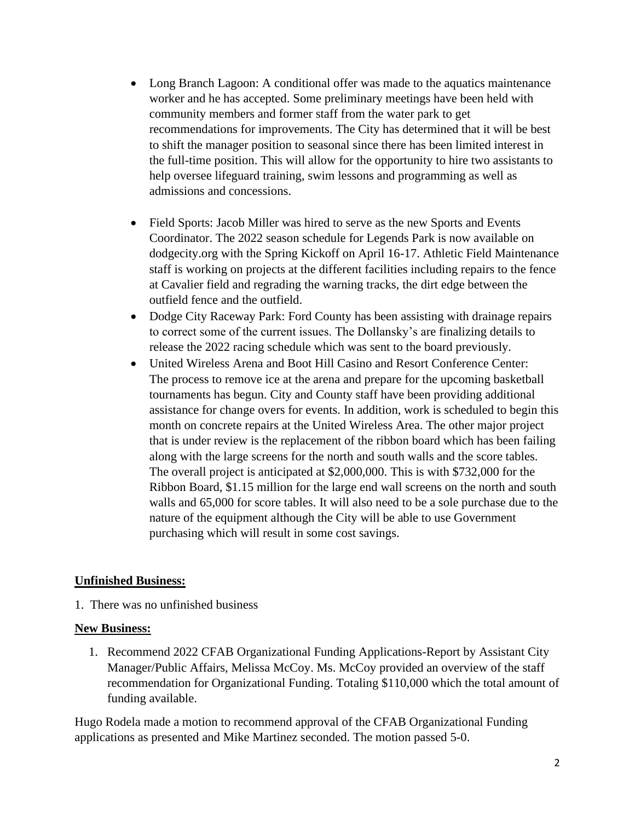- Long Branch Lagoon: A conditional offer was made to the aquatics maintenance worker and he has accepted. Some preliminary meetings have been held with community members and former staff from the water park to get recommendations for improvements. The City has determined that it will be best to shift the manager position to seasonal since there has been limited interest in the full-time position. This will allow for the opportunity to hire two assistants to help oversee lifeguard training, swim lessons and programming as well as admissions and concessions.
- Field Sports: Jacob Miller was hired to serve as the new Sports and Events Coordinator. The 2022 season schedule for Legends Park is now available on dodgecity.org with the Spring Kickoff on April 16-17. Athletic Field Maintenance staff is working on projects at the different facilities including repairs to the fence at Cavalier field and regrading the warning tracks, the dirt edge between the outfield fence and the outfield.
- Dodge City Raceway Park: Ford County has been assisting with drainage repairs to correct some of the current issues. The Dollansky's are finalizing details to release the 2022 racing schedule which was sent to the board previously.
- United Wireless Arena and Boot Hill Casino and Resort Conference Center: The process to remove ice at the arena and prepare for the upcoming basketball tournaments has begun. City and County staff have been providing additional assistance for change overs for events. In addition, work is scheduled to begin this month on concrete repairs at the United Wireless Area. The other major project that is under review is the replacement of the ribbon board which has been failing along with the large screens for the north and south walls and the score tables. The overall project is anticipated at \$2,000,000. This is with \$732,000 for the Ribbon Board, \$1.15 million for the large end wall screens on the north and south walls and 65,000 for score tables. It will also need to be a sole purchase due to the nature of the equipment although the City will be able to use Government purchasing which will result in some cost savings.

# **Unfinished Business:**

1. There was no unfinished business

# **New Business:**

1. Recommend 2022 CFAB Organizational Funding Applications-Report by Assistant City Manager/Public Affairs, Melissa McCoy. Ms. McCoy provided an overview of the staff recommendation for Organizational Funding. Totaling \$110,000 which the total amount of funding available.

Hugo Rodela made a motion to recommend approval of the CFAB Organizational Funding applications as presented and Mike Martinez seconded. The motion passed 5-0.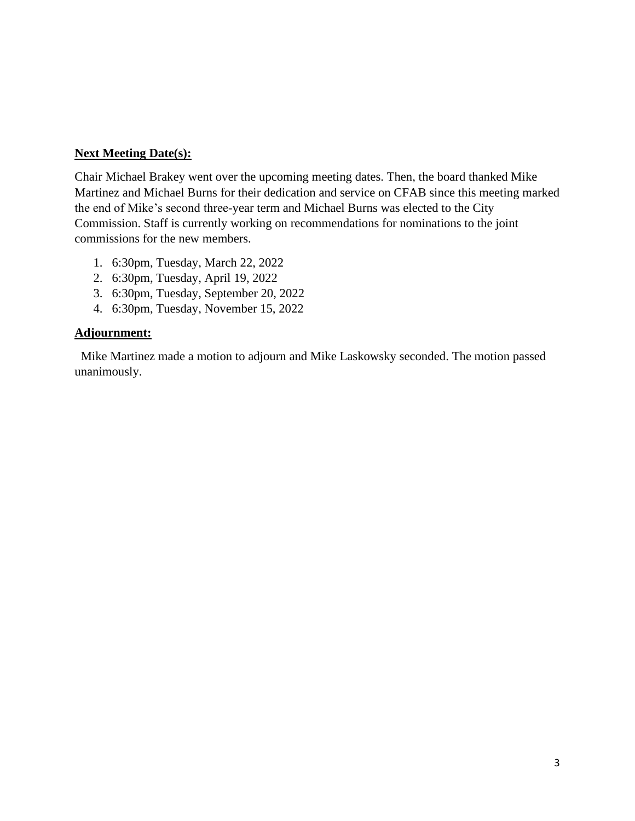### **Next Meeting Date(s):**

Chair Michael Brakey went over the upcoming meeting dates. Then, the board thanked Mike Martinez and Michael Burns for their dedication and service on CFAB since this meeting marked the end of Mike's second three-year term and Michael Burns was elected to the City Commission. Staff is currently working on recommendations for nominations to the joint commissions for the new members.

- 1. 6:30pm, Tuesday, March 22, 2022
- 2. 6:30pm, Tuesday, April 19, 2022
- 3. 6:30pm, Tuesday, September 20, 2022
- 4. 6:30pm, Tuesday, November 15, 2022

### **Adjournment:**

 Mike Martinez made a motion to adjourn and Mike Laskowsky seconded. The motion passed unanimously.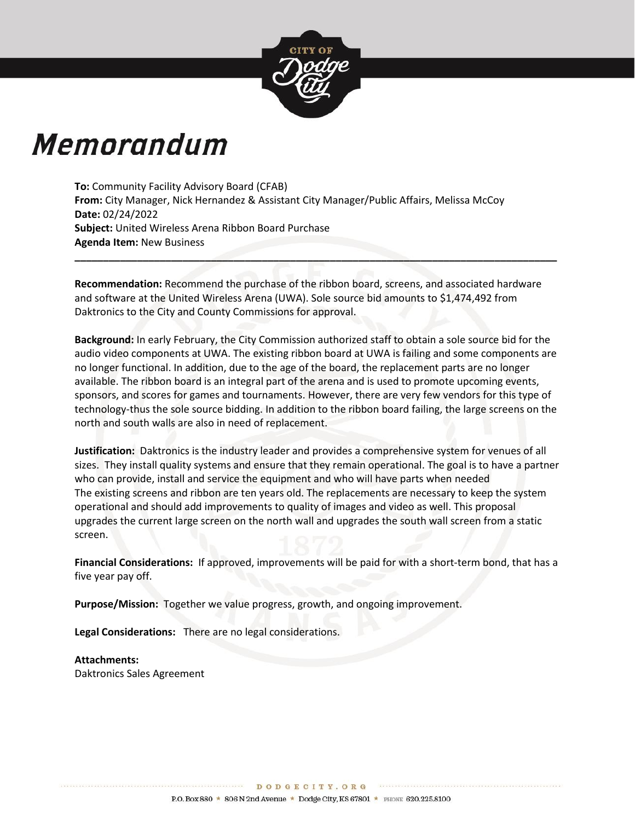

# Memorandum

**To:** Community Facility Advisory Board (CFAB) **From:** City Manager, Nick Hernandez & Assistant City Manager/Public Affairs, Melissa McCoy **Date:** 02/24/2022 **Subject:** United Wireless Arena Ribbon Board Purchase **Agenda Item:** New Business

**Recommendation:** Recommend the purchase of the ribbon board, screens, and associated hardware and software at the United Wireless Arena (UWA). Sole source bid amounts to \$1,474,492 from Daktronics to the City and County Commissions for approval.

**\_\_\_\_\_\_\_\_\_\_\_\_\_\_\_\_\_\_\_\_\_\_\_\_\_\_\_\_\_\_\_\_\_\_\_\_\_\_\_\_\_\_\_\_\_\_\_\_\_\_\_\_\_\_\_\_\_\_\_\_\_\_\_\_\_\_\_\_\_\_\_\_\_\_\_\_\_\_\_\_\_\_\_\_\_**

**Background:** In early February, the City Commission authorized staff to obtain a sole source bid for the audio video components at UWA. The existing ribbon board at UWA is failing and some components are no longer functional. In addition, due to the age of the board, the replacement parts are no longer available. The ribbon board is an integral part of the arena and is used to promote upcoming events, sponsors, and scores for games and tournaments. However, there are very few vendors for this type of technology-thus the sole source bidding. In addition to the ribbon board failing, the large screens on the north and south walls are also in need of replacement.

**Justification:** Daktronics is the industry leader and provides a comprehensive system for venues of all sizes. They install quality systems and ensure that they remain operational. The goal is to have a partner who can provide, install and service the equipment and who will have parts when needed The existing screens and ribbon are ten years old. The replacements are necessary to keep the system operational and should add improvements to quality of images and video as well. This proposal upgrades the current large screen on the north wall and upgrades the south wall screen from a static screen.

**Financial Considerations:** If approved, improvements will be paid for with a short-term bond, that has a five year pay off.

**Purpose/Mission:** Together we value progress, growth, and ongoing improvement.

**Legal Considerations:** There are no legal considerations.

### **Attachments:**

Daktronics Sales Agreement

DODGECITY. ORG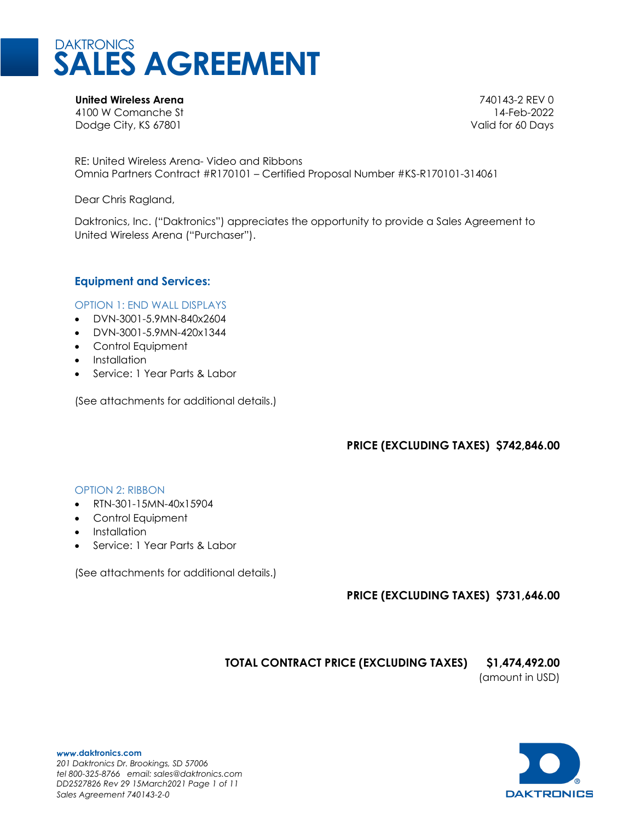

**United Wireless Arena** 740143-2 REV 0 4100 W Comanche St 14-Feb-2022 Dodge City, KS 67801 and the control of the control of the control of the control of the control of the control of the control of the control of the control of the control of the control of the control of the control of th

RE: United Wireless Arena- Video and Ribbons Omnia Partners Contract #R170101 – Certified Proposal Number #KS-R170101-314061

Dear Chris Ragland,

Daktronics, Inc. ("Daktronics") appreciates the opportunity to provide a Sales Agreement to United Wireless Arena ("Purchaser").

### **Equipment and Services:**

OPTION 1: END WALL DISPLAYS

- DVN-3001-5.9MN-840x2604
- DVN-3001-5.9MN-420x1344
- Control Equipment
- Installation
- Service: 1 Year Parts & Labor

(See attachments for additional details.)

# **PRICE (EXCLUDING TAXES) \$742,846.00**

### OPTION 2: RIBBON

- RTN-301-15MN-40x15904
- Control Equipment
- Installation
- Service: 1 Year Parts & Labor

(See attachments for additional details.)

# **PRICE (EXCLUDING TAXES) \$731,646.00**

# **TOTAL CONTRACT PRICE (EXCLUDING TAXES) \$1,474,492.00**

(amount in USD)

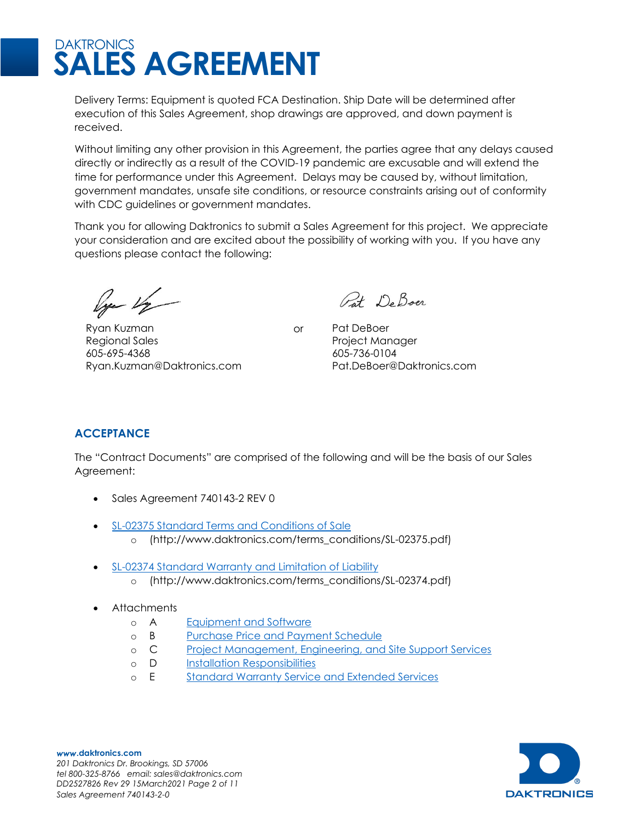Delivery Terms: Equipment is quoted FCA Destination. Ship Date will be determined after execution of this Sales Agreement, shop drawings are approved, and down payment is received.

Without limiting any other provision in this Agreement, the parties agree that any delays caused directly or indirectly as a result of the COVID-19 pandemic are excusable and will extend the time for performance under this Agreement. Delays may be caused by, without limitation, government mandates, unsafe site conditions, or resource constraints arising out of conformity with CDC guidelines or government mandates.

Thank you for allowing Daktronics to submit a Sales Agreement for this project. We appreciate your consideration and are excited about the possibility of working with you. If you have any questions please contact the following:

lye 1/2

Ryan Kuzman Regional Sales 605-695-4368 [Ryan.Kuzman@Daktronics.com](mailto:Ryan.Kuzman@Daktronics.com)

Pat De Boer

or Pat DeBoer Project Manager 605-736-0104 Pat.DeBoer@Daktronics.com

# **ACCEPTANCE**

The "Contract Documents" are comprised of the following and will be the basis of our Sales Agreement:

- Sales Agreement 740143-2 REV 0
- [SL-02375 Standard Terms and Conditions of Sale](http://www.daktronics.com/terms_conditions/SL-02375.pdf)
	- o [\(http://www.daktronics.com/terms\\_conditions/SL-02375.pdf\)](http://www.daktronics.com/terms_conditions/SL-02375.pdf)
- [SL-02374 Standard Warranty and Limitation of Liability](http://www.daktronics.com/terms_conditions/SL-02374.pdf)
	- o [\(http://www.daktronics.com/terms\\_conditions/SL-02374.pdf\)](http://www.daktronics.com/terms_conditions/SL-02374.pdf)
- Attachments
	- o A [Equipment and Software](#page-9-0)
	- o B [Purchase Price and Payment](#page-10-0) Schedule
	- o C [Project Management, Engineering, and Site Support Services](#page-11-0)
	- o D [Installation Responsibilities](#page-13-0)
	- o E [Standard Warranty Service and Extended Services](#page-15-0)



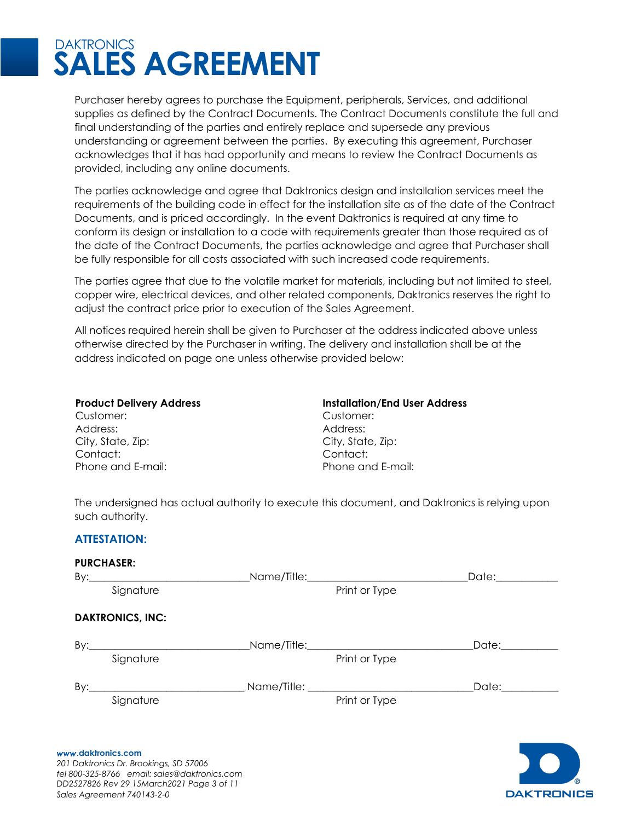Purchaser hereby agrees to purchase the Equipment, peripherals, Services, and additional supplies as defined by the Contract Documents. The Contract Documents constitute the full and final understanding of the parties and entirely replace and supersede any previous understanding or agreement between the parties. By executing this agreement, Purchaser acknowledges that it has had opportunity and means to review the Contract Documents as provided, including any online documents.

The parties acknowledge and agree that Daktronics design and installation services meet the requirements of the building code in effect for the installation site as of the date of the Contract Documents, and is priced accordingly. In the event Daktronics is required at any time to conform its design or installation to a code with requirements greater than those required as of the date of the Contract Documents, the parties acknowledge and agree that Purchaser shall be fully responsible for all costs associated with such increased code requirements.

The parties agree that due to the volatile market for materials, including but not limited to steel, copper wire, electrical devices, and other related components, Daktronics reserves the right to adjust the contract price prior to execution of the Sales Agreement.

All notices required herein shall be given to Purchaser at the address indicated above unless otherwise directed by the Purchaser in writing. The delivery and installation shall be at the address indicated on page one unless otherwise provided below:

Customer: Customer: Address: Address: City, State, Zip: City, State, Zip: Contact: Contact:

**Product Delivery Address Installation/End User Address** Phone and E-mail: Phone and E-mail:

The undersigned has actual authority to execute this document, and Daktronics is relying upon such authority.

### **ATTESTATION:**

|     | <b>PURCHASER:</b>       |                                                                                                               |                                                                                                                                                                                                                                |
|-----|-------------------------|---------------------------------------------------------------------------------------------------------------|--------------------------------------------------------------------------------------------------------------------------------------------------------------------------------------------------------------------------------|
|     |                         | Name/Title: Name and Solid Research Andrew Management and Analysis and Analysis and Analysis and Analysis and | Date: the contract of the contract of the contract of the contract of the contract of the contract of the contract of the contract of the contract of the contract of the contract of the contract of the contract of the cont |
|     | Signature               | Print or Type                                                                                                 |                                                                                                                                                                                                                                |
|     | <b>DAKTRONICS, INC:</b> |                                                                                                               |                                                                                                                                                                                                                                |
| By: |                         |                                                                                                               | Date:__________                                                                                                                                                                                                                |
|     | Signature               | Print or Type                                                                                                 |                                                                                                                                                                                                                                |
| By: |                         |                                                                                                               | Date: the contract of the contract of the contract of the contract of the contract of the contract of the contract of the contract of the contract of the contract of the contract of the contract of the contract of the cont |
|     | Signature               | Print or Type                                                                                                 |                                                                                                                                                                                                                                |
|     |                         |                                                                                                               |                                                                                                                                                                                                                                |
|     |                         |                                                                                                               |                                                                                                                                                                                                                                |

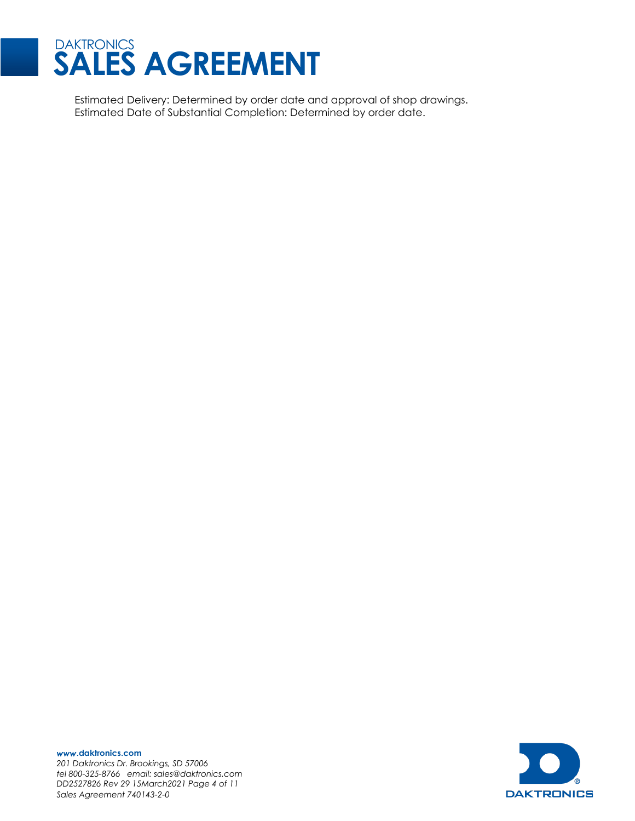

Estimated Delivery: Determined by order date and approval of shop drawings. Estimated Date of Substantial Completion: Determined by order date.

**DAKTRONICS** 

*www***.daktronics.com**  *201 Daktronics Dr. Brookings, SD 57006 tel 800-325-8766 email: sales@daktronics.com DD2527826 Rev 29 15March2021 Page 4 of 11 Sales Agreement 740143-2-0*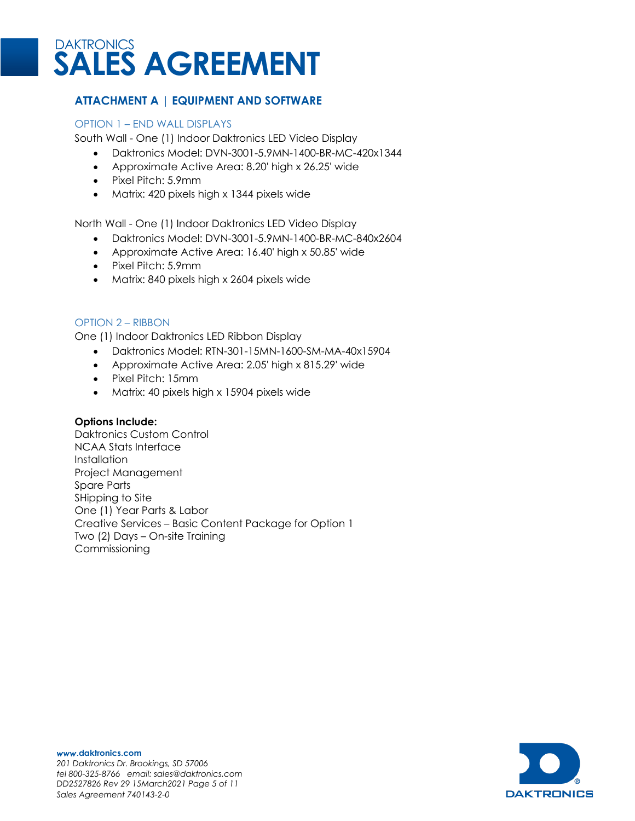

# <span id="page-9-0"></span>**ATTACHMENT A | EQUIPMENT AND SOFTWARE**

#### OPTION 1 – END WALL DISPLAYS

South Wall - One (1) Indoor Daktronics LED Video Display

- Daktronics Model: DVN-3001-5.9MN-1400-BR-MC-420x1344
- Approximate Active Area: 8.20' high x 26.25' wide
- Pixel Pitch: 5.9mm
- Matrix: 420 pixels high x 1344 pixels wide

North Wall - One (1) Indoor Daktronics LED Video Display

- Daktronics Model: DVN-3001-5.9MN-1400-BR-MC-840x2604
- Approximate Active Area: 16.40' high x 50.85' wide
- Pixel Pitch: 5.9mm
- Matrix: 840 pixels high x 2604 pixels wide

### OPTION 2 – RIBBON

One (1) Indoor Daktronics LED Ribbon Display

- Daktronics Model: RTN-301-15MN-1600-SM-MA-40x15904
- Approximate Active Area: 2.05' high x 815.29' wide
- Pixel Pitch: 15mm
- Matrix: 40 pixels high x 15904 pixels wide

### **Options Include:**

Daktronics Custom Control NCAA Stats Interface **Installation** Project Management Spare Parts SHipping to Site One (1) Year Parts & Labor Creative Services – Basic Content Package for Option 1 Two (2) Days – On-site Training Commissioning

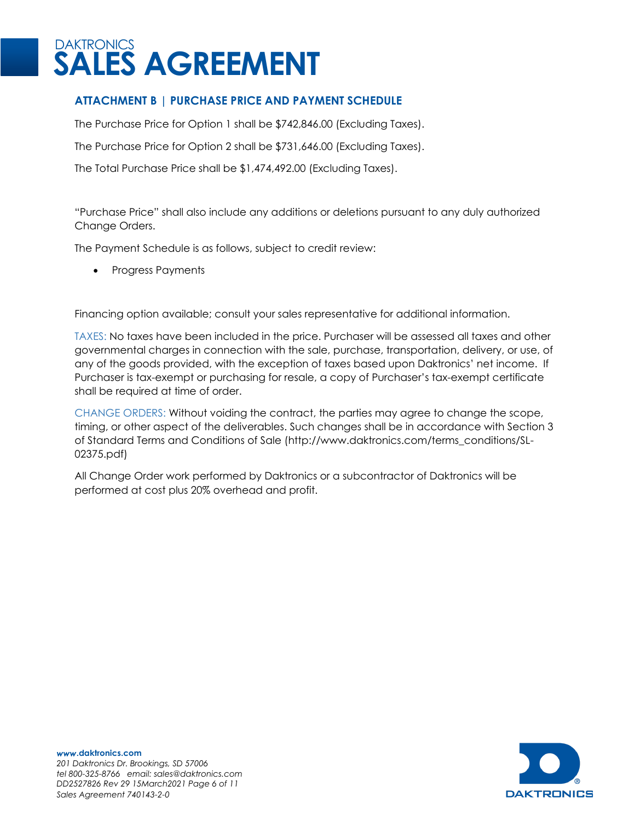# <span id="page-10-0"></span>**ATTACHMENT B | PURCHASE PRICE AND PAYMENT SCHEDULE**

The Purchase Price for Option 1 shall be \$742,846.00 (Excluding Taxes).

The Purchase Price for Option 2 shall be \$731,646.00 (Excluding Taxes).

The Total Purchase Price shall be \$1,474,492.00 (Excluding Taxes).

"Purchase Price" shall also include any additions or deletions pursuant to any duly authorized Change Orders.

The Payment Schedule is as follows, subject to credit review:

• Progress Payments

Financing option available; consult your sales representative for additional information.

TAXES: No taxes have been included in the price. Purchaser will be assessed all taxes and other governmental charges in connection with the sale, purchase, transportation, delivery, or use, of any of the goods provided, with the exception of taxes based upon Daktronics' net income. If Purchaser is tax-exempt or purchasing for resale, a copy of Purchaser's tax-exempt certificate shall be required at time of order.

CHANGE ORDERS: Without voiding the contract, the parties may agree to change the scope, timing, or other aspect of the deliverables. Such changes shall be in accordance with Section 3 of Standard Terms and Conditions of Sale [\(http://www.daktronics.com/terms\\_conditions/SL-](http://www.daktronics.com/terms_conditions/SL-02375.pdf)[02375.pdf\)](http://www.daktronics.com/terms_conditions/SL-02375.pdf)

All Change Order work performed by Daktronics or a subcontractor of Daktronics will be performed at cost plus 20% overhead and profit.

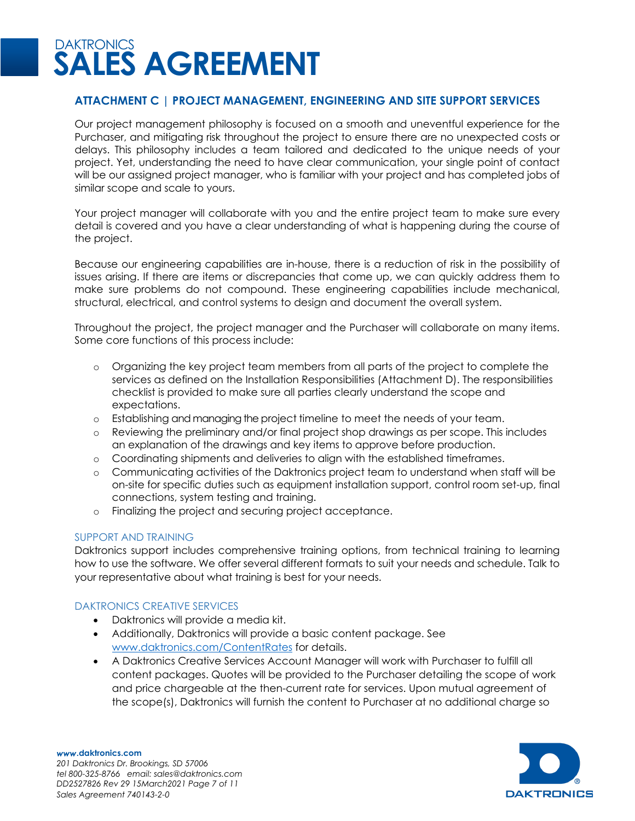# <span id="page-11-0"></span>**ATTACHMENT C | PROJECT MANAGEMENT, ENGINEERING AND SITE SUPPORT SERVICES**

Our project management philosophy is focused on a smooth and uneventful experience for the Purchaser, and mitigating risk throughout the project to ensure there are no unexpected costs or delays. This philosophy includes a team tailored and dedicated to the unique needs of your project. Yet, understanding the need to have clear communication, your single point of contact will be our assigned project manager, who is familiar with your project and has completed jobs of similar scope and scale to yours.

Your project manager will collaborate with you and the entire project team to make sure every detail is covered and you have a clear understanding of what is happening during the course of the project.

Because our engineering capabilities are in-house, there is a reduction of risk in the possibility of issues arising. If there are items or discrepancies that come up, we can quickly address them to make sure problems do not compound. These engineering capabilities include mechanical, structural, electrical, and control systems to design and document the overall system.

Throughout the project, the project manager and the Purchaser will collaborate on many items. Some core functions of this process include:

- o Organizing the key project team members from all parts of the project to complete the services as defined on the Installation Responsibilities (Attachment D). The responsibilities checklist is provided to make sure all parties clearly understand the scope and expectations.
- o Establishing and managing the project timeline to meet the needs of your team.
- o Reviewing the preliminary and/or final project shop drawings as per scope. This includes an explanation of the drawings and key items to approve before production.
- o Coordinating shipments and deliveries to align with the established timeframes.
- o Communicating activities of the Daktronics project team to understand when staff will be on-site for specific duties such as equipment installation support, control room set-up, final connections, system testing and training.
- o Finalizing the project and securing project acceptance.

### SUPPORT AND TRAINING

Daktronics support includes comprehensive training options, from technical training to learning how to use the software. We offer several different formats to suit your needs and schedule. Talk to your representative about what training is best for your needs.

### DAKTRONICS CREATIVE SERVICES

- Daktronics will provide a media kit.
- Additionally, Daktronics will provide a basic content package. See [www.daktronics.com/ContentRates](http://www.daktronics.com/ContentRates) for details.
- A Daktronics Creative Services Account Manager will work with Purchaser to fulfill all content packages. Quotes will be provided to the Purchaser detailing the scope of work and price chargeable at the then-current rate for services. Upon mutual agreement of the scope(s), Daktronics will furnish the content to Purchaser at no additional charge so

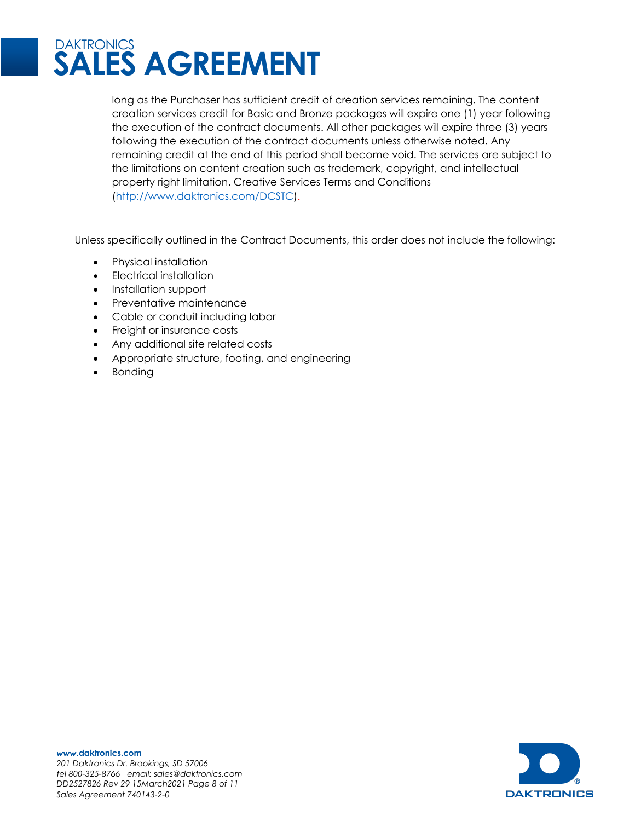

long as the Purchaser has sufficient credit of creation services remaining. The content creation services credit for Basic and Bronze packages will expire one (1) year following the execution of the contract documents. All other packages will expire three (3) years following the execution of the contract documents unless otherwise noted. Any remaining credit at the end of this period shall become void. The services are subject to the limitations on content creation such as trademark, copyright, and intellectual property right limitation. Creative Services Terms and Conditions [\(http://www.daktronics.com/DCSTC\)](http://www.daktronics.com/DCSTC).

Unless specifically outlined in the Contract Documents, this order does not include the following:

- Physical installation
- Electrical installation
- Installation support
- Preventative maintenance
- Cable or conduit including labor
- Freight or insurance costs
- Any additional site related costs
- Appropriate structure, footing, and engineering
- Bonding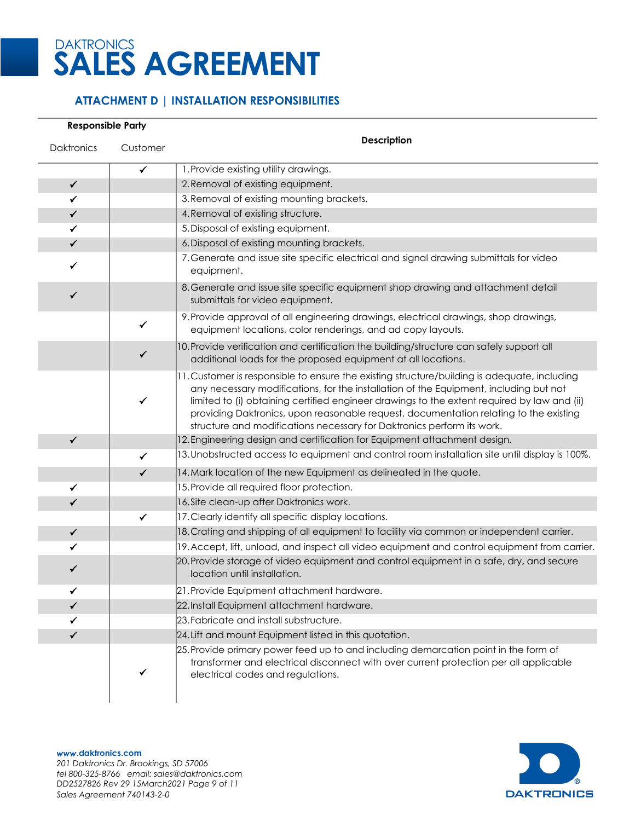

# <span id="page-13-0"></span>**ATTACHMENT D | INSTALLATION RESPONSIBILITIES**

#### **Responsible Party**

| <b>Daktronics</b> | Customer     | <b>Description</b>                                                                                                                                                                                                                                                                                                                                                                                                                                      |
|-------------------|--------------|---------------------------------------------------------------------------------------------------------------------------------------------------------------------------------------------------------------------------------------------------------------------------------------------------------------------------------------------------------------------------------------------------------------------------------------------------------|
|                   | $\checkmark$ | 1. Provide existing utility drawings.                                                                                                                                                                                                                                                                                                                                                                                                                   |
| $\checkmark$      |              | 2. Removal of existing equipment.                                                                                                                                                                                                                                                                                                                                                                                                                       |
| ✓                 |              | 3. Removal of existing mounting brackets.                                                                                                                                                                                                                                                                                                                                                                                                               |
| $\checkmark$      |              | 4. Removal of existing structure.                                                                                                                                                                                                                                                                                                                                                                                                                       |
| ✓                 |              | 5. Disposal of existing equipment.                                                                                                                                                                                                                                                                                                                                                                                                                      |
| $\checkmark$      |              | 6. Disposal of existing mounting brackets.                                                                                                                                                                                                                                                                                                                                                                                                              |
| ✓                 |              | 7. Generate and issue site specific electrical and signal drawing submittals for video<br>equipment.                                                                                                                                                                                                                                                                                                                                                    |
| ✓                 |              | 8. Generate and issue site specific equipment shop drawing and attachment detail<br>submittals for video equipment.                                                                                                                                                                                                                                                                                                                                     |
|                   | $\checkmark$ | 9. Provide approval of all engineering drawings, electrical drawings, shop drawings,<br>equipment locations, color renderings, and ad copy layouts.                                                                                                                                                                                                                                                                                                     |
|                   | ✓            | 10. Provide verification and certification the building/structure can safely support all<br>additional loads for the proposed equipment at all locations.                                                                                                                                                                                                                                                                                               |
|                   | ✓            | 11. Customer is responsible to ensure the existing structure/building is adequate, including<br>any necessary modifications, for the installation of the Equipment, including but not<br>limited to (i) obtaining certified engineer drawings to the extent required by law and (ii)<br>providing Daktronics, upon reasonable request, documentation relating to the existing<br>structure and modifications necessary for Daktronics perform its work. |
| $\checkmark$      |              | 12. Engineering design and certification for Equipment attachment design.                                                                                                                                                                                                                                                                                                                                                                               |
|                   | $\checkmark$ | 13. Unobstructed access to equipment and control room installation site until display is 100%.                                                                                                                                                                                                                                                                                                                                                          |
|                   | $\checkmark$ | 14. Mark location of the new Equipment as delineated in the quote.                                                                                                                                                                                                                                                                                                                                                                                      |
| ✓                 |              | 15. Provide all required floor protection.                                                                                                                                                                                                                                                                                                                                                                                                              |
| ✓                 |              | 16. Site clean-up after Daktronics work.                                                                                                                                                                                                                                                                                                                                                                                                                |
|                   | $\checkmark$ | 17. Clearly identify all specific display locations.                                                                                                                                                                                                                                                                                                                                                                                                    |
| ✓                 |              | 18. Crating and shipping of all equipment to facility via common or independent carrier.                                                                                                                                                                                                                                                                                                                                                                |
| ✔                 |              | 19. Accept, lift, unload, and inspect all video equipment and control equipment from carrier.                                                                                                                                                                                                                                                                                                                                                           |
| ✔                 |              | 20. Provide storage of video equipment and control equipment in a safe, dry, and secure<br>location until installation.                                                                                                                                                                                                                                                                                                                                 |
|                   |              | 21. Provide Equipment attachment hardware.                                                                                                                                                                                                                                                                                                                                                                                                              |
| ✓                 |              | 22. Install Equipment attachment hardware.                                                                                                                                                                                                                                                                                                                                                                                                              |
| ✓                 |              | 23. Fabricate and install substructure.                                                                                                                                                                                                                                                                                                                                                                                                                 |
| $\checkmark$      |              | 24. Lift and mount Equipment listed in this quotation.                                                                                                                                                                                                                                                                                                                                                                                                  |
|                   |              | 25. Provide primary power feed up to and including demarcation point in the form of<br>transformer and electrical disconnect with over current protection per all applicable<br>electrical codes and regulations.                                                                                                                                                                                                                                       |

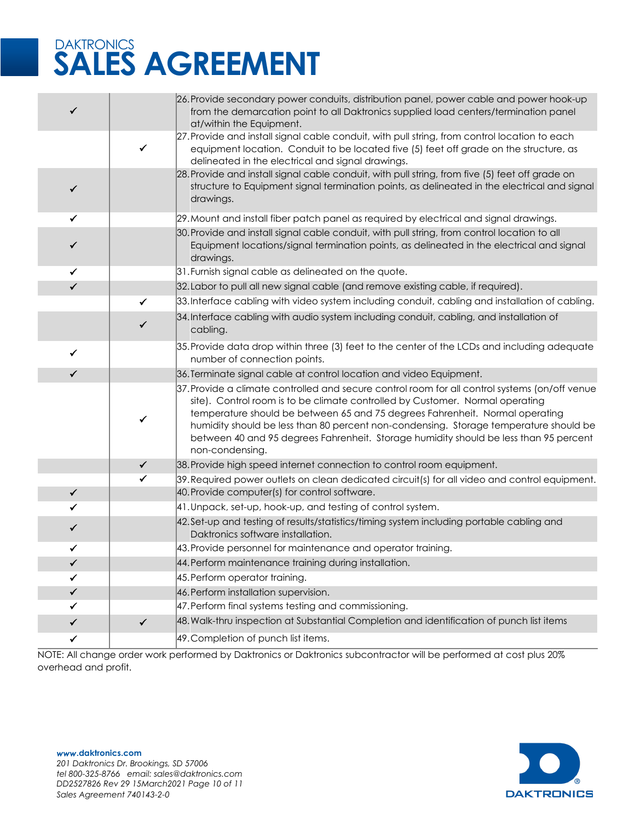| ✓                 |              | 26. Provide secondary power conduits, distribution panel, power cable and power hook-up<br>from the demarcation point to all Daktronics supplied load centers/termination panel<br>at/within the Equipment.                                                                       |
|-------------------|--------------|-----------------------------------------------------------------------------------------------------------------------------------------------------------------------------------------------------------------------------------------------------------------------------------|
|                   | $\checkmark$ | 27. Provide and install signal cable conduit, with pull string, from control location to each<br>equipment location. Conduit to be located five (5) feet off grade on the structure, as<br>delineated in the electrical and signal drawings.                                      |
| $\checkmark$      |              | 28. Provide and install signal cable conduit, with pull string, from five (5) feet off grade on<br>structure to Equipment signal termination points, as delineated in the electrical and signal<br>drawings.                                                                      |
| ✓                 |              | 29. Mount and install fiber patch panel as required by electrical and signal drawings.                                                                                                                                                                                            |
| ✓                 |              | 30. Provide and install signal cable conduit, with pull string, from control location to all<br>Equipment locations/signal termination points, as delineated in the electrical and signal<br>drawings.                                                                            |
| $\checkmark$      |              | 31. Furnish signal cable as delineated on the quote.                                                                                                                                                                                                                              |
| ✓                 |              | 32. Labor to pull all new signal cable (and remove existing cable, if required).                                                                                                                                                                                                  |
|                   | ✓            | 33. Interface cabling with video system including conduit, cabling and installation of cabling.                                                                                                                                                                                   |
|                   | $\checkmark$ | 34. Interface cabling with audio system including conduit, cabling, and installation of<br>cabling.                                                                                                                                                                               |
| $\checkmark$      |              | 35. Provide data drop within three (3) feet to the center of the LCDs and including adequate<br>number of connection points.                                                                                                                                                      |
| $\checkmark$      |              | 36. Terminate signal cable at control location and video Equipment.                                                                                                                                                                                                               |
|                   |              | 37. Provide a climate controlled and secure control room for all control systems (on/off venue<br>site). Control room is to be climate controlled by Customer. Normal operating                                                                                                   |
|                   | ✓            | temperature should be between 65 and 75 degrees Fahrenheit. Normal operating<br>humidity should be less than 80 percent non-condensing. Storage temperature should be<br>between 40 and 95 degrees Fahrenheit. Storage humidity should be less than 95 percent<br>non-condensing. |
|                   | ✓            | 38. Provide high speed internet connection to control room equipment.                                                                                                                                                                                                             |
|                   | $\checkmark$ | 39. Required power outlets on clean dedicated circuit(s) for all video and control equipment.                                                                                                                                                                                     |
| $\checkmark$      |              | 40. Provide computer(s) for control software.                                                                                                                                                                                                                                     |
| ✓                 |              | 41. Unpack, set-up, hook-up, and testing of control system.                                                                                                                                                                                                                       |
| ✓                 |              | 42.Set-up and testing of results/statistics/timing system including portable cabling and<br>Daktronics software installation.                                                                                                                                                     |
| ✓                 |              | 43. Provide personnel for maintenance and operator training.                                                                                                                                                                                                                      |
| ✓                 |              | 44. Perform maintenance training during installation.                                                                                                                                                                                                                             |
| $\checkmark$      |              | 45. Perform operator training.                                                                                                                                                                                                                                                    |
| ✓                 |              | 46. Perform installation supervision.                                                                                                                                                                                                                                             |
| ✓                 |              | 47. Perform final systems testing and commissioning.                                                                                                                                                                                                                              |
| ✓<br>$\checkmark$ | $\checkmark$ | 48. Walk-thru inspection at Substantial Completion and identification of punch list items<br>49. Completion of punch list items.                                                                                                                                                  |

NOTE: All change order work performed by Daktronics or Daktronics subcontractor will be performed at cost plus 20% overhead and profit.